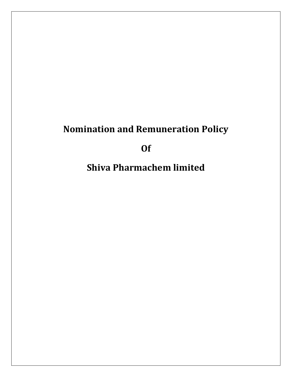# Nomination and Remuneration Policy

Of

Shiva Pharmachem limited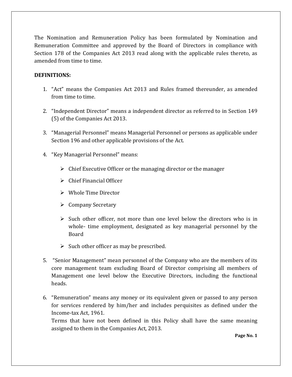The Nomination and Remuneration Policy has been formulated by Nomination and Remuneration Committee and approved by the Board of Directors in compliance with Section 178 of the Companies Act 2013 read along with the applicable rules thereto, as amended from time to time.

### DEFINITIONS:

- 1. "Act" means the Companies Act 2013 and Rules framed thereunder, as amended from time to time.
- 2. "Independent Director" means a independent director as referred to in Section 149 (5) of the Companies Act 2013.
- 3. "Managerial Personnel" means Managerial Personnel or persons as applicable under Section 196 and other applicable provisions of the Act.
- 4. "Key Managerial Personnel" means:
	- $\triangleright$  Chief Executive Officer or the managing director or the manager
	- $\triangleright$  Chief Financial Officer
	- Whole Time Director
	- $\triangleright$  Company Secretary
	- $\triangleright$  Such other officer, not more than one level below the directors who is in whole- time employment, designated as key managerial personnel by the Board
	- $\triangleright$  Such other officer as may be prescribed.
- 5. "Senior Management" mean personnel of the Company who are the members of its core management team excluding Board of Director comprising all members of Management one level below the Executive Directors, including the functional heads.
- 6. "Remuneration" means any money or its equivalent given or passed to any person for services rendered by him/her and includes perquisites as defined under the Income-tax Act, 1961.

Terms that have not been defined in this Policy shall have the same meaning assigned to them in the Companies Act, 2013.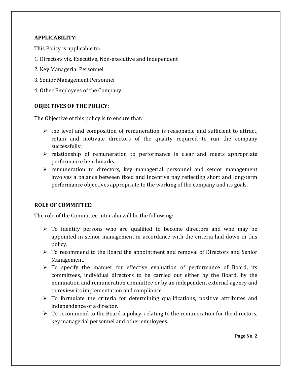#### APPLICABILITY:

This Policy is applicable to:

- 1. Directors viz. Executive, Non-executive and Independent
- 2. Key Managerial Personnel
- 3. Senior Management Personnel
- 4. Other Employees of the Company

# OBJECTIVES OF THE POLICY:

The Objective of this policy is to ensure that:

- $\triangleright$  the level and composition of remuneration is reasonable and sufficient to attract, retain and motivate directors of the quality required to run the company successfully.
- $\triangleright$  relationship of remuneration to performance is clear and meets appropriate performance benchmarks.
- $\triangleright$  remuneration to directors, key managerial personnel and senior management involves a balance between fixed and incentive pay reflecting short and long-term performance objectives appropriate to the working of the company and its goals.

# ROLE OF COMMITTEE:

The role of the Committee inter alia will be the following:

- $\triangleright$  To identify persons who are qualified to become directors and who may be appointed in senior management in accordance with the criteria laid down in this policy.
- To recommend to the Board the appointment and removal of Directors and Senior Management.
- $\triangleright$  To specify the manner for effective evaluation of performance of Board, its committees, individual directors to be carried out either by the Board, by the nomination and remuneration committee or by an independent external agency and to review its implementation and compliance.
- $\triangleright$  To formulate the criteria for determining qualifications, positive attributes and independence of a director.
- $\triangleright$  To recommend to the Board a policy, relating to the remuneration for the directors, key managerial personnel and other employees.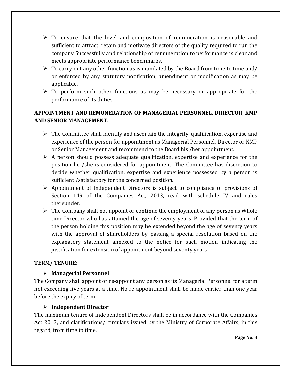- $\triangleright$  To ensure that the level and composition of remuneration is reasonable and sufficient to attract, retain and motivate directors of the quality required to run the company Successfully and relationship of remuneration to performance is clear and meets appropriate performance benchmarks.
- $\triangleright$  To carry out any other function as is mandated by the Board from time to time and/ or enforced by any statutory notification, amendment or modification as may be applicable.
- $\triangleright$  To perform such other functions as may be necessary or appropriate for the performance of its duties.

# APPOINTMENT AND REMUNERATION OF MANAGERIAL PERSONNEL, DIRECTOR, KMP AND SENIOR MANAGEMENT.

- $\triangleright$  The Committee shall identify and ascertain the integrity, qualification, expertise and experience of the person for appointment as Managerial Personnel, Director or KMP or Senior Management and recommend to the Board his /her appointment.
- $\triangleright$  A person should possess adequate qualification, expertise and experience for the position he /she is considered for appointment. The Committee has discretion to decide whether qualification, expertise and experience possessed by a person is sufficient /satisfactory for the concerned position.
- $\triangleright$  Appointment of Independent Directors is subject to compliance of provisions of Section 149 of the Companies Act, 2013, read with schedule IV and rules thereunder.
- $\triangleright$  The Company shall not appoint or continue the employment of any person as Whole time Director who has attained the age of seventy years. Provided that the term of the person holding this position may be extended beyond the age of seventy years with the approval of shareholders by passing a special resolution based on the explanatory statement annexed to the notice for such motion indicating the justification for extension of appointment beyond seventy years.

# TERM/ TENURE:

# Managerial Personnel

The Company shall appoint or re-appoint any person as its Managerial Personnel for a term not exceeding five years at a time. No re-appointment shall be made earlier than one year before the expiry of term.

# Independent Director

The maximum tenure of Independent Directors shall be in accordance with the Companies Act 2013, and clarifications/ circulars issued by the Ministry of Corporate Affairs, in this regard, from time to time.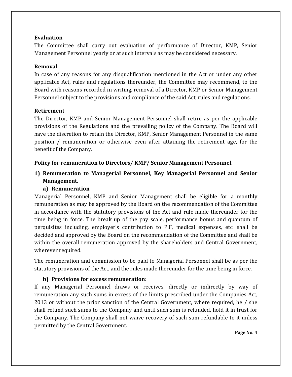#### Evaluation

The Committee shall carry out evaluation of performance of Director, KMP, Senior Management Personnel yearly or at such intervals as may be considered necessary.

#### Removal

In case of any reasons for any disqualification mentioned in the Act or under any other applicable Act, rules and regulations thereunder, the Committee may recommend, to the Board with reasons recorded in writing, removal of a Director, KMP or Senior Management Personnel subject to the provisions and compliance of the said Act, rules and regulations.

#### Retirement

The Director, KMP and Senior Management Personnel shall retire as per the applicable provisions of the Regulations and the prevailing policy of the Company. The Board will have the discretion to retain the Director, KMP, Senior Management Personnel in the same position / remuneration or otherwise even after attaining the retirement age, for the benefit of the Company.

#### Policy for remuneration to Directors/ KMP/ Senior Management Personnel.

# 1) Remuneration to Managerial Personnel, Key Managerial Personnel and Senior Management.

#### a) Remuneration

Managerial Personnel, KMP and Senior Management shall be eligible for a monthly remuneration as may be approved by the Board on the recommendation of the Committee in accordance with the statutory provisions of the Act and rule made thereunder for the time being in force. The break up of the pay scale, performance bonus and quantum of perquisites including, employer's contribution to P.F, medical expenses, etc. shall be decided and approved by the Board on the recommendation of the Committee and shall be within the overall remuneration approved by the shareholders and Central Government, wherever required.

The remuneration and commission to be paid to Managerial Personnel shall be as per the statutory provisions of the Act, and the rules made thereunder for the time being in force.

#### b) Provisions for excess remuneration:

If any Managerial Personnel draws or receives, directly or indirectly by way of remuneration any such sums in excess of the limits prescribed under the Companies Act, 2013 or without the prior sanction of the Central Government, where required, he / she shall refund such sums to the Company and until such sum is refunded, hold it in trust for the Company. The Company shall not waive recovery of such sum refundable to it unless permitted by the Central Government.

Page No. 4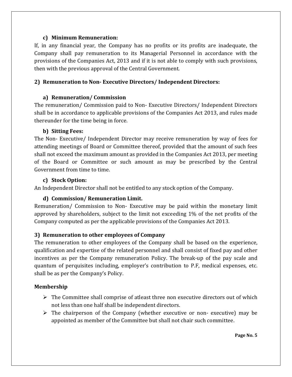#### c) Minimum Remuneration:

If, in any financial year, the Company has no profits or its profits are inadequate, the Company shall pay remuneration to its Managerial Personnel in accordance with the provisions of the Companies Act, 2013 and if it is not able to comply with such provisions, then with the previous approval of the Central Government.

# 2) Remuneration to Non- Executive Directors/ Independent Directors:

# a) Remuneration/ Commission

The remuneration/ Commission paid to Non- Executive Directors/ Independent Directors shall be in accordance to applicable provisions of the Companies Act 2013, and rules made thereunder for the time being in force.

# b) Sitting Fees:

The Non- Executive/ Independent Director may receive remuneration by way of fees for attending meetings of Board or Committee thereof, provided that the amount of such fees shall not exceed the maximum amount as provided in the Companies Act 2013, per meeting of the Board or Committee or such amount as may be prescribed by the Central Government from time to time.

# c) Stock Option:

An Independent Director shall not be entitled to any stock option of the Company.

# d) Commission/ Remuneration Limit.

Remuneration/ Commission to Non- Executive may be paid within the monetary limit approved by shareholders, subject to the limit not exceeding 1% of the net profits of the Company computed as per the applicable provisions of the Companies Act 2013.

# 3) Remuneration to other employees of Company

The remuneration to other employees of the Company shall be based on the experience, qualification and expertise of the related personnel and shall consist of fixed pay and other incentives as per the Company remuneration Policy. The break-up of the pay scale and quantum of perquisites including, employer's contribution to P.F, medical expenses, etc. shall be as per the Company's Policy.

# Membership

- $\triangleright$  The Committee shall comprise of atleast three non executive directors out of which not less than one half shall be independent directors.
- $\triangleright$  The chairperson of the Company (whether executive or non-executive) may be appointed as member of the Committee but shall not chair such committee.